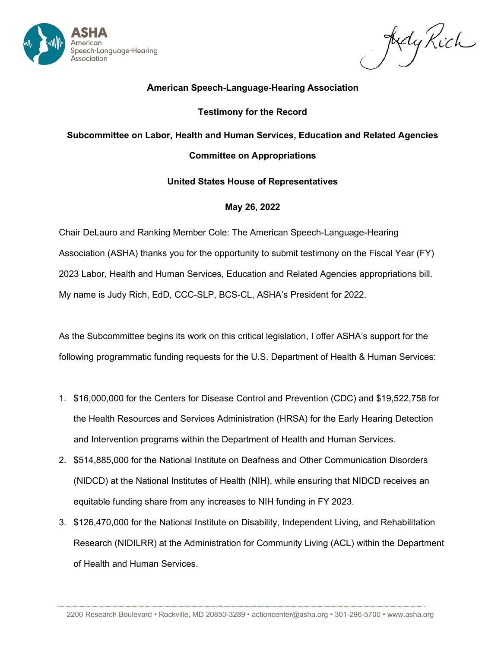

Judy Rich

# **American Speech-Language-Hearing Association**

## **Testimony for the Record**

## **Subcommittee on Labor, Health and Human Services, Education and Related Agencies**

## **Committee on Appropriations**

## **United States House of Representatives**

## **May 26, 2022**

Chair DeLauro and Ranking Member Cole: The American Speech-Language-Hearing Association (ASHA) thanks you for the opportunity to submit testimony on the Fiscal Year (FY) 2023 Labor, Health and Human Services, Education and Related Agencies appropriations bill. My name is Judy Rich, EdD, CCC-SLP, BCS-CL, ASHA's President for 2022.

As the Subcommittee begins its work on this critical legislation, I offer ASHA's support for the following programmatic funding requests for the U.S. Department of Health & Human Services:

- 1. \$16,000,000 for the Centers for Disease Control and Prevention (CDC) and \$19,522,758 for the Health Resources and Services Administration (HRSA) for the Early Hearing Detection and Intervention programs within the Department of Health and Human Services.
- 2. \$514,885,000 for the National Institute on Deafness and Other Communication Disorders (NIDCD) at the National Institutes of Health (NIH), while ensuring that NIDCD receives an equitable funding share from any increases to NIH funding in FY 2023.
- 3. \$126,470,000 for the National Institute on Disability, Independent Living, and Rehabilitation Research (NIDILRR) at the Administration for Community Living (ACL) within the Department of Health and Human Services.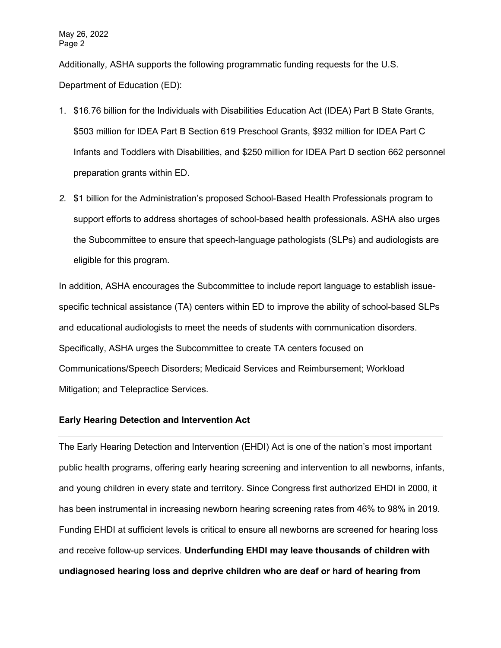Additionally, ASHA supports the following programmatic funding requests for the U.S. Department of Education (ED):

- 1. \$16.76 billion for the Individuals with Disabilities Education Act (IDEA) Part B State Grants, \$503 million for IDEA Part B Section 619 Preschool Grants, \$932 million for IDEA Part C Infants and Toddlers with Disabilities, and \$250 million for IDEA Part D section 662 personnel preparation grants within ED.
- *2.* \$1 billion for the Administration's proposed School-Based Health Professionals program to support efforts to address shortages of school-based health professionals. ASHA also urges the Subcommittee to ensure that speech-language pathologists (SLPs) and audiologists are eligible for this program.

In addition, ASHA encourages the Subcommittee to include report language to establish issuespecific technical assistance (TA) centers within ED to improve the ability of school-based SLPs and educational audiologists to meet the needs of students with communication disorders. Specifically, ASHA urges the Subcommittee to create TA centers focused on Communications/Speech Disorders; Medicaid Services and Reimbursement; Workload Mitigation; and Telepractice Services.

#### **Early Hearing Detection and Intervention Act**

The Early Hearing Detection and Intervention (EHDI) Act is one of the nation's most important public health programs, offering early hearing screening and intervention to all newborns, infants, and young children in every state and territory. Since Congress first authorized EHDI in 2000, it has been instrumental in increasing newborn hearing screening rates from 46% to 98% in 2019. Funding EHDI at sufficient levels is critical to ensure all newborns are screened for hearing loss and receive follow-up services. **Underfunding EHDI may leave thousands of children with undiagnosed hearing loss and deprive children who are deaf or hard of hearing from**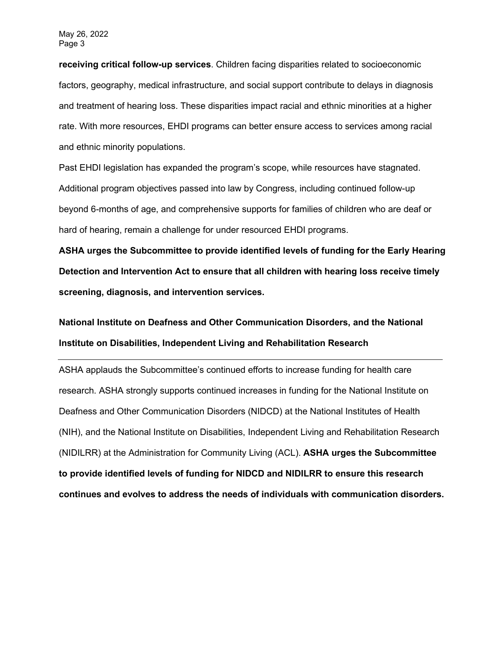**receiving critical follow-up services**. Children facing disparities related to socioeconomic factors, geography, medical infrastructure, and social support contribute to delays in diagnosis and treatment of hearing loss. These disparities impact racial and ethnic minorities at a higher rate. With more resources, EHDI programs can better ensure access to services among racial and ethnic minority populations.

Past EHDI legislation has expanded the program's scope, while resources have stagnated. Additional program objectives passed into law by Congress, including continued follow-up beyond 6-months of age, and comprehensive supports for families of children who are deaf or hard of hearing, remain a challenge for under resourced EHDI programs.

**ASHA urges the Subcommittee to provide identified levels of funding for the Early Hearing Detection and Intervention Act to ensure that all children with hearing loss receive timely screening, diagnosis, and intervention services.**

**National Institute on Deafness and Other Communication Disorders, and the National Institute on Disabilities, Independent Living and Rehabilitation Research**

ASHA applauds the Subcommittee's continued efforts to increase funding for health care research. ASHA strongly supports continued increases in funding for the National Institute on Deafness and Other Communication Disorders (NIDCD) at the National Institutes of Health (NIH), and the National Institute on Disabilities, Independent Living and Rehabilitation Research (NIDILRR) at the Administration for Community Living (ACL). **ASHA urges the Subcommittee to provide identified levels of funding for NIDCD and NIDILRR to ensure this research continues and evolves to address the needs of individuals with communication disorders.**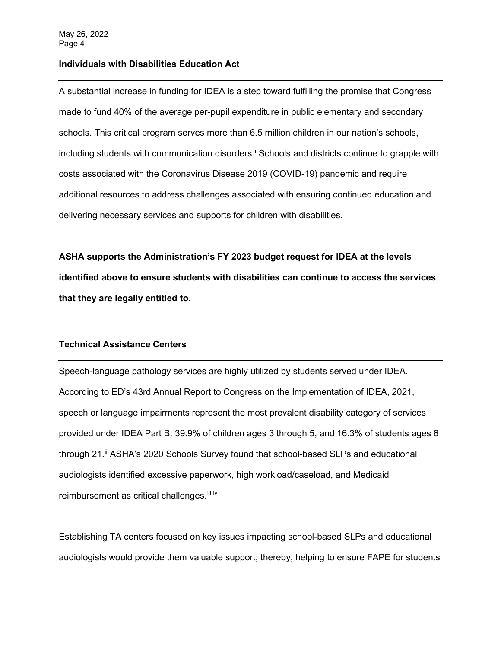#### **Individuals with Disabilities Education Act**

A substantial increase in funding for IDEA is a step toward fulfilling the promise that Congress made to fund 40% of the average per-pupil expenditure in public elementary and secondary schools. This critical program serves more than 6.5 million children in our nation's schools, [i](#page-4-0)ncluding students with communication disorders.<sup>i</sup> Schools and districts continue to grapple with costs associated with the Coronavirus Disease 2019 (COVID-19) pandemic and require additional resources to address challenges associated with ensuring continued education and delivering necessary services and supports for children with disabilities.

**ASHA supports the Administration's FY 2023 budget request for IDEA at the levels identified above to ensure students with disabilities can continue to access the services that they are legally entitled to.**

## **Technical Assistance Centers**

Speech-language pathology services are highly utilized by students served under IDEA. According to ED's 43rd Annual Report to Congress on the Implementation of IDEA, 2021, speech or language impairments represent the most prevalent disability category of services provided under IDEA Part B: 39.9% of children ages 3 through 5, and 16.3% of students ages 6 through 21.<sup>[ii](#page-4-1)</sup> ASHA's 2020 Schools Survey found that school-based SLPs and educational audiologists identified excessive paperwork, high workload/caseload, and Medicaid reimbursement as critical challenges.<sup>[iii](#page-4-2),iv</sup>

Establishing TA centers focused on key issues impacting school-based SLPs and educational audiologists would provide them valuable support; thereby, helping to ensure FAPE for students